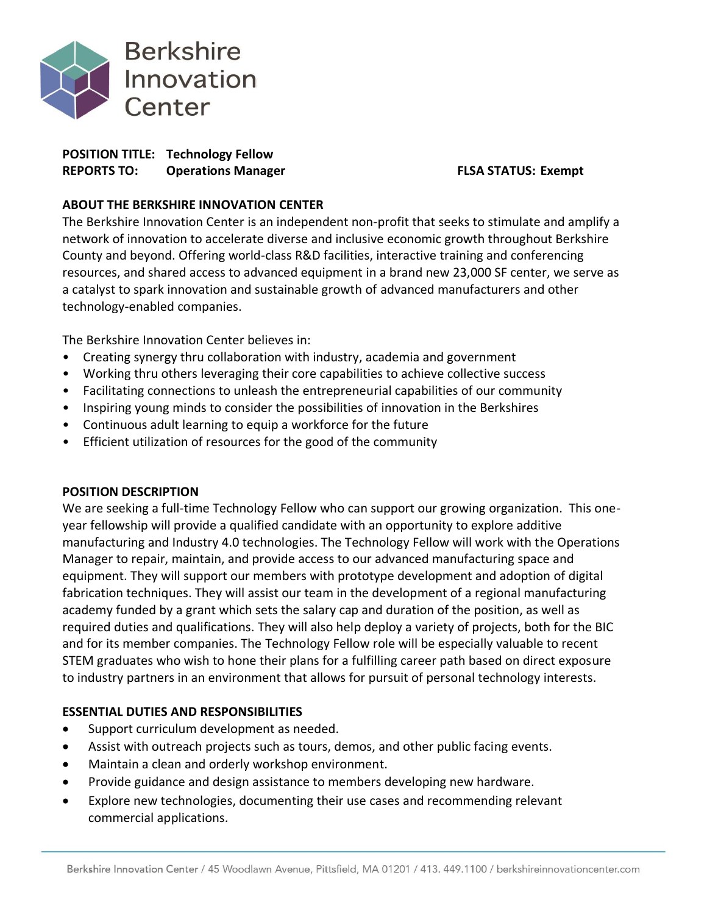

# **POSITION TITLE: Technology Fellow REPORTS TO: Operations Manager FLSA STATUS: Exempt**

## **ABOUT THE BERKSHIRE INNOVATION CENTER**

The Berkshire Innovation Center is an independent non-profit that seeks to stimulate and amplify a network of innovation to accelerate diverse and inclusive economic growth throughout Berkshire County and beyond. Offering world-class R&D facilities, interactive training and conferencing resources, and shared access to advanced equipment in a brand new 23,000 SF center, we serve as a catalyst to spark innovation and sustainable growth of advanced manufacturers and other technology-enabled companies.

The Berkshire Innovation Center believes in:

- Creating synergy thru collaboration with industry, academia and government
- Working thru others leveraging their core capabilities to achieve collective success
- Facilitating connections to unleash the entrepreneurial capabilities of our community
- Inspiring young minds to consider the possibilities of innovation in the Berkshires
- Continuous adult learning to equip a workforce for the future
- Efficient utilization of resources for the good of the community

## **POSITION DESCRIPTION**

We are seeking a full-time Technology Fellow who can support our growing organization. This oneyear fellowship will provide a qualified candidate with an opportunity to explore additive manufacturing and Industry 4.0 technologies. The Technology Fellow will work with the Operations Manager to repair, maintain, and provide access to our advanced manufacturing space and equipment. They will support our members with prototype development and adoption of digital fabrication techniques. They will assist our team in the development of a regional manufacturing academy funded by a grant which sets the salary cap and duration of the position, as well as required duties and qualifications. They will also help deploy a variety of projects, both for the BIC and for its member companies. The Technology Fellow role will be especially valuable to recent STEM graduates who wish to hone their plans for a fulfilling career path based on direct exposure to industry partners in an environment that allows for pursuit of personal technology interests.

## **ESSENTIAL DUTIES AND RESPONSIBILITIES**

- Support curriculum development as needed.
- Assist with outreach projects such as tours, demos, and other public facing events.
- Maintain a clean and orderly workshop environment.
- Provide guidance and design assistance to members developing new hardware.
- Explore new technologies, documenting their use cases and recommending relevant commercial applications.